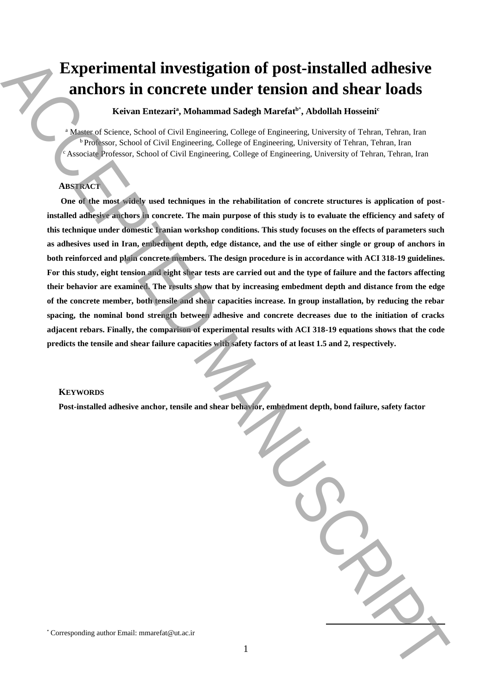# **Experimental investigation of post-installed adhesive anchors in concrete under tension and shear loads**

## **Keivan Entezari<sup>a</sup> , Mohammad Sadegh Marefat<sup>b</sup>**\* **, Abdollah Hosseini<sup>c</sup>**

<sup>a</sup> Master of Science, School of Civil Engineering, College of Engineering, University of Tehran, Tehran, Iran <sup>b</sup> Professor, School of Civil Engineering, College of Engineering, University of Tehran, Tehran, Iran <sup>c</sup>Associate Professor, School of Civil Engineering, College of Engineering, University of Tehran, Tehran, Iran

## **ABSTRACT**

**One of the most widely used techniques in the rehabilitation of concrete structures is application of postinstalled adhesive anchors in concrete. The main purpose of this study is to evaluate the efficiency and safety of this technique under domestic Iranian workshop conditions. This study focuses on the effects of parameters such as adhesives used in Iran, embedment depth, edge distance, and the use of either single or group of anchors in both reinforced and plain concrete members. The design procedure is in accordance with ACI 318-19 guidelines. For this study, eight tension and eight shear tests are carried out and the type of failure and the factors affecting their behavior are examined. The results show that by increasing embedment depth and distance from the edge of the concrete member, both tensile and shear capacities increase. In group installation, by reducing the rebar spacing, the nominal bond strength between adhesive and concrete decreases due to the initiation of cracks adjacent rebars. Finally, the comparison of experimental results with ACI 318-19 equations shows that the code predicts the tensile and shear failure capacities with safety factors of at least 1.5 and 2, respectively.** Experimental investigation of post-installed adhesive<br>anchors in concrete under tension and shear loads<br>
Second Science Shoot of Collections, Coleve of Equations, University of New Telem. Then, here  $\alpha$ , the collection o

### **KEYWORDS**

**Post-installed adhesive anchor, tensile and shear behavior, embedment depth, bond failure, safety factor**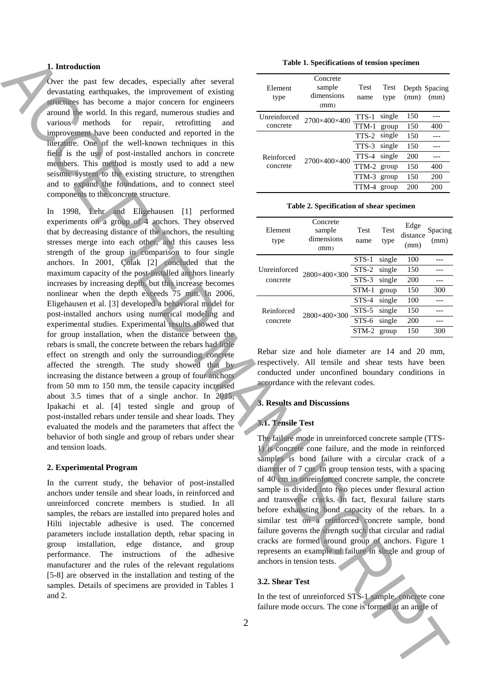#### **1. Introduction**

Over the past few decades, especially after several devastating earthquakes, the improvement of existing structures has become a major concern for engineers around the world. In this regard, numerous studies and various methods for repair, retrofitting and improvement have been conducted and reported in the literature. One of the well-known techniques in this field is the use of post-installed anchors in concrete members. This method is mostly used to add a new seismic system to the existing structure, to strengthen and to expand the foundations, and to connect steel components to the concrete structure.

In 1998, Lehr and Eligehausen [1] performed experiments on a group of 4 anchors. They observed that by decreasing distance of the anchors, the resulting stresses merge into each other, and this causes less strength of the group in comparison to four single anchors. In 2001, Çolak [2] concluded that the maximum capacity of the post-installed anchors linearly increases by increasing depth, but this increase becomes nonlinear when the depth exceeds 75 mm. In 2006, Eligehausen et al. [3] developed a behavioral model for post-installed anchors using numerical modeling and experimental studies. Experimental results showed that for group installation, when the distance between the rebars is small, the concrete between the rebars had little effect on strength and only the surrounding concrete affected the strength. The study showed that by increasing the distance between a group of four anchors from 50 mm to 150 mm, the tensile capacity increased about 3.5 times that of a single anchor. In 2015, Ipakachi et al. [4] tested single and group of post-installed rebars under tensile and shear loads. They evaluated the models and the parameters that affect the behavior of both single and group of rebars under shear and tension loads. **Fair and the cone is formed at an angle of ACCEPTE CONFIDENTIAL CONE CONFIDENTIAL CONE CONFIDENTIAL CONE CONFIDENTIAL CONE CONFIDENTIAL CONE CONFIDENTIAL CONE CONFIDENTIAL CONFIDENTIAL CONE CONFIDENTIAL CONFIDENTIAL CONF** 

#### **2. Experimental Program**

In the current study, the behavior of post-installed anchors under tensile and shear loads, in reinforced and unreinforced concrete members is studied. In all samples, the rebars are installed into prepared holes and Hilti injectable adhesive is used. The concerned parameters include installation depth, rebar spacing in group installation, edge distance, and group performance. The instructions of the adhesive manufacturer and the rules of the relevant regulations [5-8] are observed in the installation and testing of the samples. Details of specimens are provided in Tables 1 and 2.

**Table 1. Specifications of tension specimen** 

| Element<br>type          | Concrete<br>sample<br>dimensions<br>(mm) | <b>Test</b><br>name | Test<br>type | (mm) | Depth Spacing<br>(mm) |
|--------------------------|------------------------------------------|---------------------|--------------|------|-----------------------|
| Unreinforced<br>concrete | 2700×400×400                             | TTS-1               | single       | 150  |                       |
|                          |                                          | TTM-1               | group        | 150  | 400                   |
|                          | 2700×400×400                             | TTS-2               | single       | 150  |                       |
|                          |                                          | TTS-3               | single       | 150  |                       |
| Reinforced               |                                          | TTS-4               | single       | 200  |                       |
| concrete                 |                                          | TTM-2 group         |              | 150  | 400                   |
|                          |                                          | TTM-3 group         |              | 150  | 200                   |
|                          |                                          | TTM-4               | group        | 200  | 200                   |

|  | Table 2. Specification of shear specimen |  |  |
|--|------------------------------------------|--|--|
|--|------------------------------------------|--|--|

| Element<br>type          | Concrete<br>sample<br>dimensions<br>(mm) | <b>Test</b><br>name | <b>Test</b><br>type | Edge<br>distance<br>(mm) | Spacing<br>(mm) |
|--------------------------|------------------------------------------|---------------------|---------------------|--------------------------|-----------------|
| Unreinforced<br>concrete | 2800×400×300                             | $STS-1$             | single              | 100                      |                 |
|                          |                                          | $STS-2$             | single              | 150                      |                 |
|                          |                                          | $STS-3$             | single              | 200                      |                 |
|                          |                                          | $STM-1$             | group               | 150                      | 300             |
| Reinforced<br>concrete   | 2800×400×300                             | $STS-4$             | single              | 100                      |                 |
|                          |                                          | $STS-5$             | single              | 150                      |                 |
|                          |                                          | $STS-6$             | single              | 200                      |                 |
|                          |                                          | STM-2               | group               | 150                      | 300             |

Rebar size and hole diameter are 14 and 20 mm, respectively. All tensile and shear tests have been conducted under unconfined boundary conditions in accordance with the relevant codes.

#### **3. Results and Discussions**

#### **3.1. Tensile Test**

The failure mode in unreinforced concrete sample (TTS-1) is concrete cone failure, and the mode in reinforced samples is bond failure with a circular crack of a diameter of 7 cm. In group tension tests, with a spacing of 40 cm in unreinforced concrete sample, the concrete sample is divided into two pieces under flexural action and transverse cracks. In fact, flexural failure starts before exhausting bond capacity of the rebars. In a similar test on a reinforced concrete sample, bond failure governs the strength such that circular and radial cracks are formed around group of anchors. Figure 1 represents an example of failure in single and group of anchors in tension tests.

#### **3.2. Shear Test**

In the test of unreinforced STS-1 sample, concrete cone